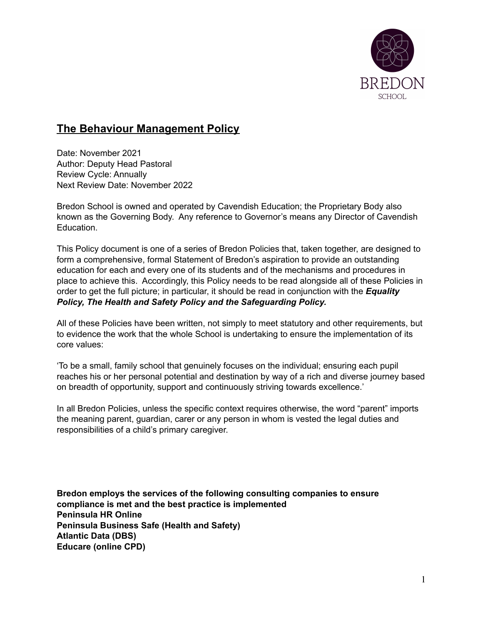

# **The Behaviour Management Policy**

Date: November 2021 Author: Deputy Head Pastoral Review Cycle: Annually Next Review Date: November 2022

Bredon School is owned and operated by Cavendish Education; the Proprietary Body also known as the Governing Body. Any reference to Governor's means any Director of Cavendish **Education** 

This Policy document is one of a series of Bredon Policies that, taken together, are designed to form a comprehensive, formal Statement of Bredon's aspiration to provide an outstanding education for each and every one of its students and of the mechanisms and procedures in place to achieve this. Accordingly, this Policy needs to be read alongside all of these Policies in order to get the full picture; in particular, it should be read in conjunction with the *Equality Policy, The Health and Safety Policy and the Safeguarding Policy.*

All of these Policies have been written, not simply to meet statutory and other requirements, but to evidence the work that the whole School is undertaking to ensure the implementation of its core values:

'To be a small, family school that genuinely focuses on the individual; ensuring each pupil reaches his or her personal potential and destination by way of a rich and diverse journey based on breadth of opportunity, support and continuously striving towards excellence.'

In all Bredon Policies, unless the specific context requires otherwise, the word "parent" imports the meaning parent, guardian, carer or any person in whom is vested the legal duties and responsibilities of a child's primary caregiver.

**Bredon employs the services of the following consulting companies to ensure compliance is met and the best practice is implemented Peninsula HR Online Peninsula Business Safe (Health and Safety) Atlantic Data (DBS) Educare (online CPD)**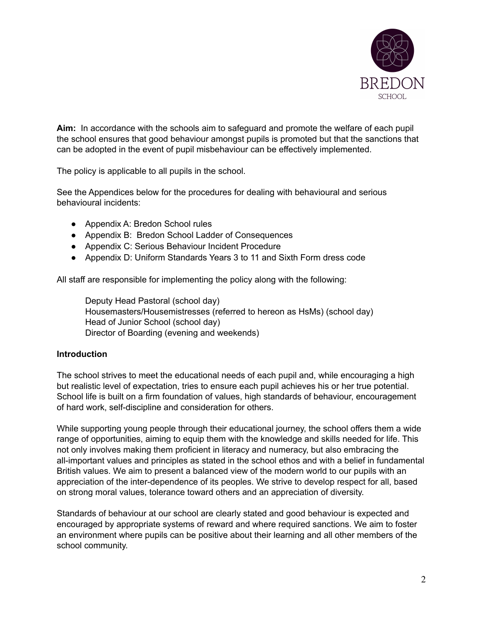

**Aim:** In accordance with the schools aim to safeguard and promote the welfare of each pupil the school ensures that good behaviour amongst pupils is promoted but that the sanctions that can be adopted in the event of pupil misbehaviour can be effectively implemented.

The policy is applicable to all pupils in the school.

See the Appendices below for the procedures for dealing with behavioural and serious behavioural incidents:

- Appendix A: Bredon School rules
- Appendix B: Bredon School Ladder of Consequences
- Appendix C: Serious Behaviour Incident Procedure
- Appendix D: Uniform Standards Years 3 to 11 and Sixth Form dress code

All staff are responsible for implementing the policy along with the following:

Deputy Head Pastoral (school day) Housemasters/Housemistresses (referred to hereon as HsMs) (school day) Head of Junior School (school day) Director of Boarding (evening and weekends)

#### **Introduction**

The school strives to meet the educational needs of each pupil and, while encouraging a high but realistic level of expectation, tries to ensure each pupil achieves his or her true potential. School life is built on a firm foundation of values, high standards of behaviour, encouragement of hard work, self-discipline and consideration for others.

While supporting young people through their educational journey, the school offers them a wide range of opportunities, aiming to equip them with the knowledge and skills needed for life. This not only involves making them proficient in literacy and numeracy, but also embracing the all-important values and principles as stated in the school ethos and with a belief in fundamental British values. We aim to present a balanced view of the modern world to our pupils with an appreciation of the inter-dependence of its peoples. We strive to develop respect for all, based on strong moral values, tolerance toward others and an appreciation of diversity.

Standards of behaviour at our school are clearly stated and good behaviour is expected and encouraged by appropriate systems of reward and where required sanctions. We aim to foster an environment where pupils can be positive about their learning and all other members of the school community.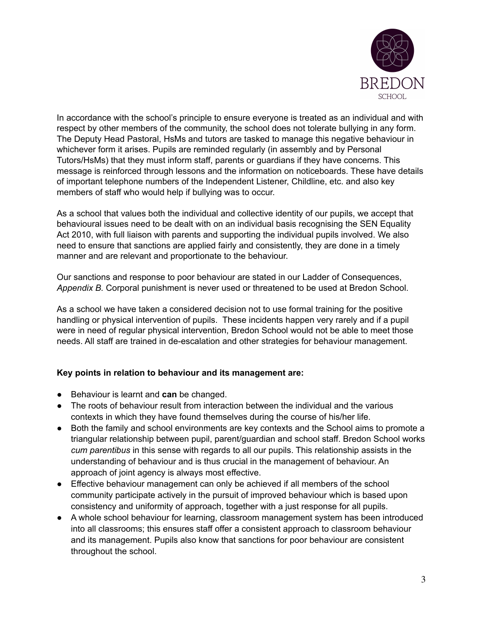

In accordance with the school's principle to ensure everyone is treated as an individual and with respect by other members of the community, the school does not tolerate bullying in any form. The Deputy Head Pastoral, HsMs and tutors are tasked to manage this negative behaviour in whichever form it arises. Pupils are reminded regularly (in assembly and by Personal Tutors/HsMs) that they must inform staff, parents or guardians if they have concerns. This message is reinforced through lessons and the information on noticeboards. These have details of important telephone numbers of the Independent Listener, Childline, etc. and also key members of staff who would help if bullying was to occur.

As a school that values both the individual and collective identity of our pupils, we accept that behavioural issues need to be dealt with on an individual basis recognising the SEN Equality Act 2010, with full liaison with parents and supporting the individual pupils involved. We also need to ensure that sanctions are applied fairly and consistently, they are done in a timely manner and are relevant and proportionate to the behaviour.

Our sanctions and response to poor behaviour are stated in our Ladder of Consequences, *Appendix B.* Corporal punishment is never used or threatened to be used at Bredon School.

As a school we have taken a considered decision not to use formal training for the positive handling or physical intervention of pupils. These incidents happen very rarely and if a pupil were in need of regular physical intervention, Bredon School would not be able to meet those needs. All staff are trained in de-escalation and other strategies for behaviour management.

#### **Key points in relation to behaviour and its management are:**

- Behaviour is learnt and **can** be changed.
- The roots of behaviour result from interaction between the individual and the various contexts in which they have found themselves during the course of his/her life.
- Both the family and school environments are key contexts and the School aims to promote a triangular relationship between pupil, parent/guardian and school staff. Bredon School works *cum parentibus* in this sense with regards to all our pupils. This relationship assists in the understanding of behaviour and is thus crucial in the management of behaviour. An approach of joint agency is always most effective.
- Effective behaviour management can only be achieved if all members of the school community participate actively in the pursuit of improved behaviour which is based upon consistency and uniformity of approach, together with a just response for all pupils.
- A whole school behaviour for learning, classroom management system has been introduced into all classrooms; this ensures staff offer a consistent approach to classroom behaviour and its management. Pupils also know that sanctions for poor behaviour are consistent throughout the school.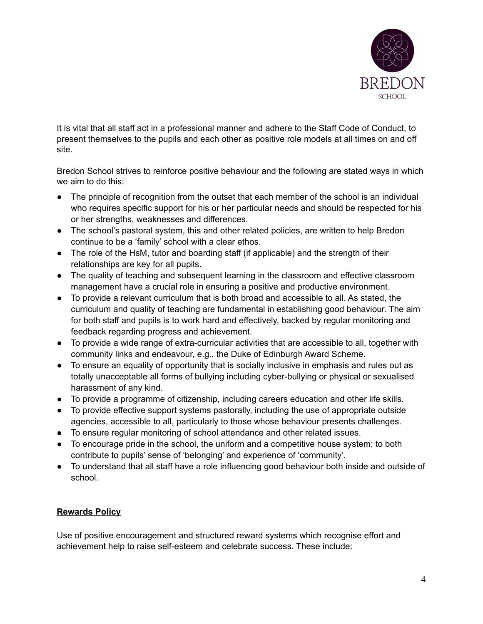

It is vital that all staff act in a professional manner and adhere to the Staff Code of Conduct, to present themselves to the pupils and each other as positive role models at all times on and off site.

Bredon School strives to reinforce positive behaviour and the following are stated ways in which we aim to do this:

- The principle of recognition from the outset that each member of the school is an individual who requires specific support for his or her particular needs and should be respected for his or her strengths, weaknesses and differences.
- The school's pastoral system, this and other related policies, are written to help Bredon continue to be a 'family' school with a clear ethos.
- The role of the HsM, tutor and boarding staff (if applicable) and the strength of their relationships are key for all pupils.
- The quality of teaching and subsequent learning in the classroom and effective classroom management have a crucial role in ensuring a positive and productive environment.
- To provide a relevant curriculum that is both broad and accessible to all. As stated, the curriculum and quality of teaching are fundamental in establishing good behaviour. The aim for both staff and pupils is to work hard and effectively, backed by regular monitoring and feedback regarding progress and achievement.
- To provide a wide range of extra-curricular activities that are accessible to all, together with community links and endeavour, e.g., the Duke of Edinburgh Award Scheme.
- To ensure an equality of opportunity that is socially inclusive in emphasis and rules out as totally unacceptable all forms of bullying including cyber-bullying or physical or sexualised harassment of any kind.
- To provide a programme of citizenship, including careers education and other life skills.
- To provide effective support systems pastorally, including the use of appropriate outside agencies, accessible to all, particularly to those whose behaviour presents challenges.
- To ensure regular monitoring of school attendance and other related issues.
- To encourage pride in the school, the uniform and a competitive house system; to both contribute to pupils' sense of 'belonging' and experience of 'community'.
- To understand that all staff have a role influencing good behaviour both inside and outside of school.

# **Rewards Policy**

Use of positive encouragement and structured reward systems which recognise effort and achievement help to raise self-esteem and celebrate success. These include: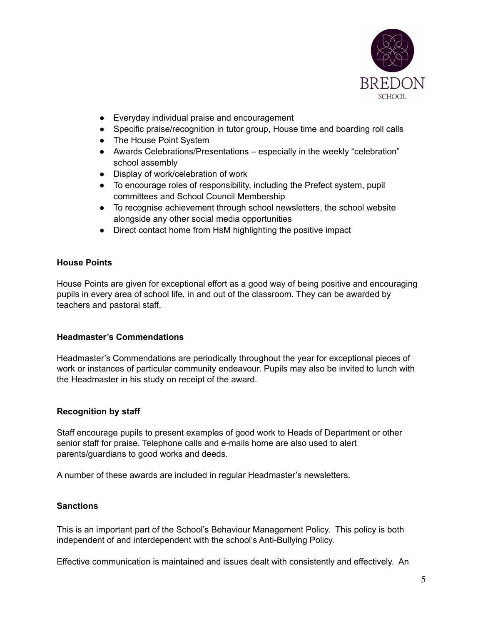

- Everyday individual praise and encouragement
- Specific praise/recognition in tutor group, House time and boarding roll calls
- The House Point System
- Awards Celebrations/Presentations especially in the weekly "celebration" school assembly
- Display of work/celebration of work
- To encourage roles of responsibility, including the Prefect system, pupil committees and School Council Membership
- To recognise achievement through school newsletters, the school website alongside any other social media opportunities
- Direct contact home from HsM highlighting the positive impact

#### **House Points**

House Points are given for exceptional effort as a good way of being positive and encouraging pupils in every area of school life, in and out of the classroom. They can be awarded by teachers and pastoral staff.

#### **Headmaster's Commendations**

Headmaster's Commendations are periodically throughout the year for exceptional pieces of work or instances of particular community endeavour. Pupils may also be invited to lunch with the Headmaster in his study on receipt of the award.

### **Recognition by staff**

Staff encourage pupils to present examples of good work to Heads of Department or other senior staff for praise. Telephone calls and e-mails home are also used to alert parents/guardians to good works and deeds.

A number of these awards are included in regular Headmaster's newsletters.

### **Sanctions**

This is an important part of the School's Behaviour Management Policy. This policy is both independent of and interdependent with the school's Anti-Bullying Policy.

Effective communication is maintained and issues dealt with consistently and effectively. An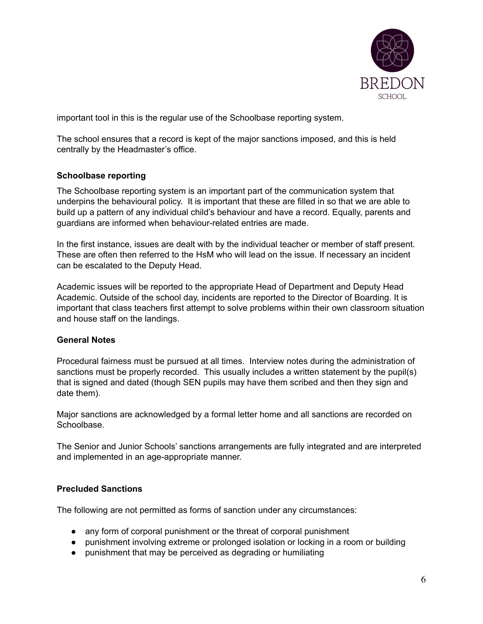

important tool in this is the regular use of the Schoolbase reporting system.

The school ensures that a record is kept of the major sanctions imposed, and this is held centrally by the Headmaster's office.

### **Schoolbase reporting**

The Schoolbase reporting system is an important part of the communication system that underpins the behavioural policy. It is important that these are filled in so that we are able to build up a pattern of any individual child's behaviour and have a record. Equally, parents and guardians are informed when behaviour-related entries are made.

In the first instance, issues are dealt with by the individual teacher or member of staff present. These are often then referred to the HsM who will lead on the issue. If necessary an incident can be escalated to the Deputy Head.

Academic issues will be reported to the appropriate Head of Department and Deputy Head Academic. Outside of the school day, incidents are reported to the Director of Boarding. It is important that class teachers first attempt to solve problems within their own classroom situation and house staff on the landings.

#### **General Notes**

Procedural fairness must be pursued at all times. Interview notes during the administration of sanctions must be properly recorded. This usually includes a written statement by the pupil(s) that is signed and dated (though SEN pupils may have them scribed and then they sign and date them).

Major sanctions are acknowledged by a formal letter home and all sanctions are recorded on Schoolbase.

The Senior and Junior Schools' sanctions arrangements are fully integrated and are interpreted and implemented in an age-appropriate manner.

#### **Precluded Sanctions**

The following are not permitted as forms of sanction under any circumstances:

- any form of corporal punishment or the threat of corporal punishment
- punishment involving extreme or prolonged isolation or locking in a room or building
- punishment that may be perceived as degrading or humiliating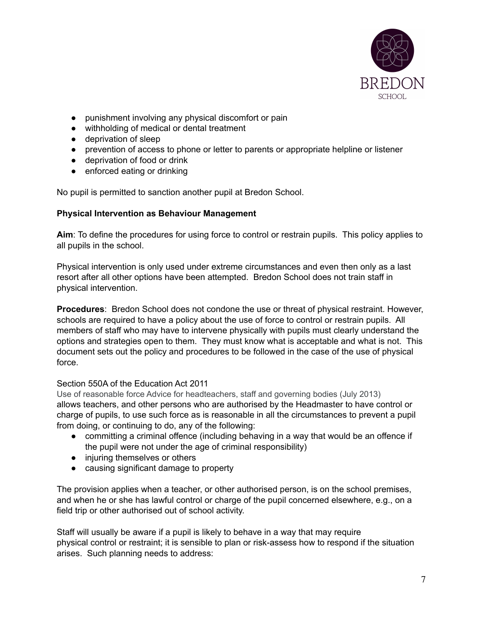

- punishment involving any physical discomfort or pain
- withholding of medical or dental treatment
- deprivation of sleep
- prevention of access to phone or letter to parents or appropriate helpline or listener
- deprivation of food or drink
- enforced eating or drinking

No pupil is permitted to sanction another pupil at Bredon School.

#### **Physical Intervention as Behaviour Management**

**Aim**: To define the procedures for using force to control or restrain pupils. This policy applies to all pupils in the school.

Physical intervention is only used under extreme circumstances and even then only as a last resort after all other options have been attempted. Bredon School does not train staff in physical intervention.

**Procedures**: Bredon School does not condone the use or threat of physical restraint. However, schools are required to have a policy about the use of force to control or restrain pupils. All members of staff who may have to intervene physically with pupils must clearly understand the options and strategies open to them. They must know what is acceptable and what is not. This document sets out the policy and procedures to be followed in the case of the use of physical force.

#### Section 550A of the Education Act 2011

Use of reasonable force Advice for headteachers, staff and governing bodies (July 2013) allows teachers, and other persons who are authorised by the Headmaster to have control or charge of pupils, to use such force as is reasonable in all the circumstances to prevent a pupil from doing, or continuing to do, any of the following:

- committing a criminal offence (including behaving in a way that would be an offence if the pupil were not under the age of criminal responsibility)
- injuring themselves or others
- causing significant damage to property

The provision applies when a teacher, or other authorised person, is on the school premises, and when he or she has lawful control or charge of the pupil concerned elsewhere, e.g., on a field trip or other authorised out of school activity.

Staff will usually be aware if a pupil is likely to behave in a way that may require physical control or restraint; it is sensible to plan or risk-assess how to respond if the situation arises. Such planning needs to address: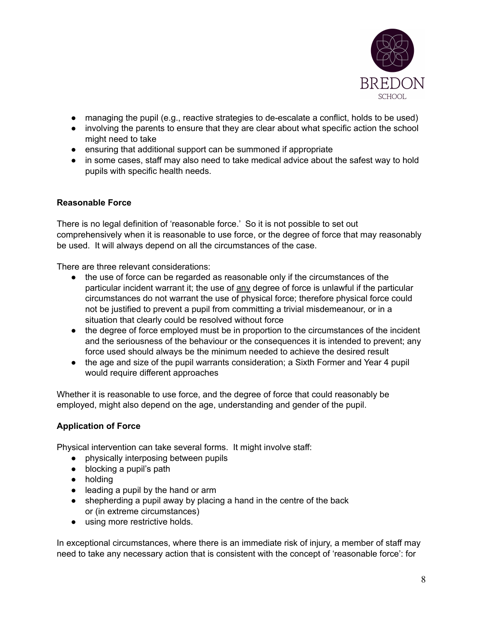

- managing the pupil (e.g., reactive strategies to de-escalate a conflict, holds to be used)
- involving the parents to ensure that they are clear about what specific action the school might need to take
- ensuring that additional support can be summoned if appropriate
- in some cases, staff may also need to take medical advice about the safest way to hold pupils with specific health needs.

### **Reasonable Force**

There is no legal definition of 'reasonable force.' So it is not possible to set out comprehensively when it is reasonable to use force, or the degree of force that may reasonably be used. It will always depend on all the circumstances of the case.

There are three relevant considerations:

- the use of force can be regarded as reasonable only if the circumstances of the particular incident warrant it; the use of any degree of force is unlawful if the particular circumstances do not warrant the use of physical force; therefore physical force could not be justified to prevent a pupil from committing a trivial misdemeanour, or in a situation that clearly could be resolved without force
- the degree of force employed must be in proportion to the circumstances of the incident and the seriousness of the behaviour or the consequences it is intended to prevent; any force used should always be the minimum needed to achieve the desired result
- the age and size of the pupil warrants consideration; a Sixth Former and Year 4 pupil would require different approaches

Whether it is reasonable to use force, and the degree of force that could reasonably be employed, might also depend on the age, understanding and gender of the pupil.

### **Application of Force**

Physical intervention can take several forms. It might involve staff:

- physically interposing between pupils
- blocking a pupil's path
- holding
- leading a pupil by the hand or arm
- shepherding a pupil away by placing a hand in the centre of the back or (in extreme circumstances)
- using more restrictive holds.

In exceptional circumstances, where there is an immediate risk of injury, a member of staff may need to take any necessary action that is consistent with the concept of 'reasonable force': for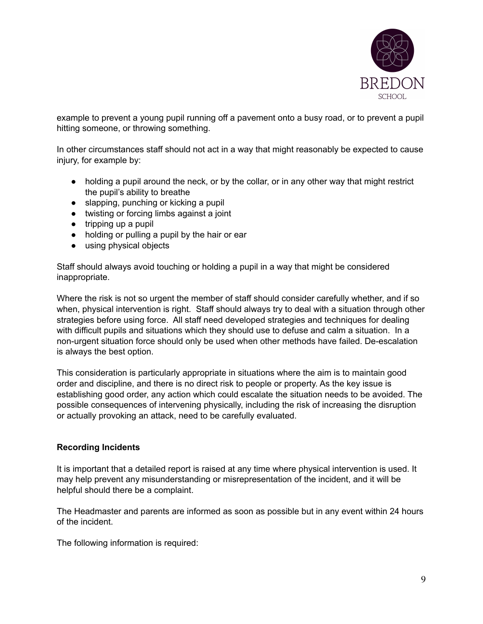

example to prevent a young pupil running off a pavement onto a busy road, or to prevent a pupil hitting someone, or throwing something.

In other circumstances staff should not act in a way that might reasonably be expected to cause injury, for example by:

- holding a pupil around the neck, or by the collar, or in any other way that might restrict the pupil's ability to breathe
- slapping, punching or kicking a pupil
- twisting or forcing limbs against a joint
- $\bullet$  tripping up a pupil
- holding or pulling a pupil by the hair or ear
- using physical objects

Staff should always avoid touching or holding a pupil in a way that might be considered inappropriate.

Where the risk is not so urgent the member of staff should consider carefully whether, and if so when, physical intervention is right. Staff should always try to deal with a situation through other strategies before using force. All staff need developed strategies and techniques for dealing with difficult pupils and situations which they should use to defuse and calm a situation. In a non-urgent situation force should only be used when other methods have failed. De-escalation is always the best option.

This consideration is particularly appropriate in situations where the aim is to maintain good order and discipline, and there is no direct risk to people or property. As the key issue is establishing good order, any action which could escalate the situation needs to be avoided. The possible consequences of intervening physically, including the risk of increasing the disruption or actually provoking an attack, need to be carefully evaluated.

#### **Recording Incidents**

It is important that a detailed report is raised at any time where physical intervention is used. It may help prevent any misunderstanding or misrepresentation of the incident, and it will be helpful should there be a complaint.

The Headmaster and parents are informed as soon as possible but in any event within 24 hours of the incident.

The following information is required: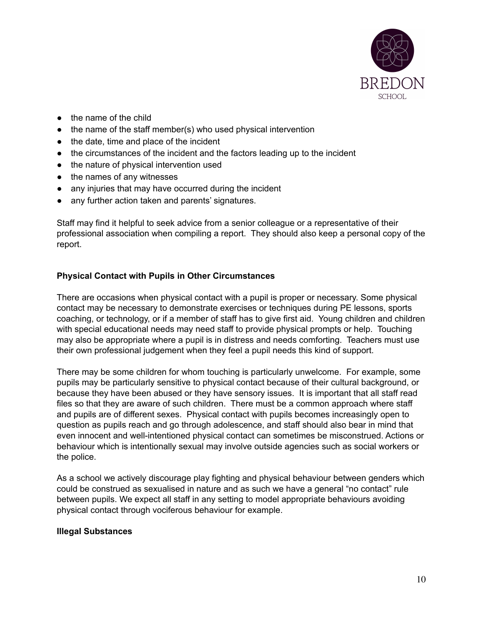

- the name of the child
- the name of the staff member(s) who used physical intervention
- the date, time and place of the incident
- the circumstances of the incident and the factors leading up to the incident
- the nature of physical intervention used
- the names of any witnesses
- any injuries that may have occurred during the incident
- any further action taken and parents' signatures.

Staff may find it helpful to seek advice from a senior colleague or a representative of their professional association when compiling a report. They should also keep a personal copy of the report.

### **Physical Contact with Pupils in Other Circumstances**

There are occasions when physical contact with a pupil is proper or necessary. Some physical contact may be necessary to demonstrate exercises or techniques during PE lessons, sports coaching, or technology, or if a member of staff has to give first aid. Young children and children with special educational needs may need staff to provide physical prompts or help. Touching may also be appropriate where a pupil is in distress and needs comforting. Teachers must use their own professional judgement when they feel a pupil needs this kind of support.

There may be some children for whom touching is particularly unwelcome. For example, some pupils may be particularly sensitive to physical contact because of their cultural background, or because they have been abused or they have sensory issues. It is important that all staff read files so that they are aware of such children. There must be a common approach where staff and pupils are of different sexes. Physical contact with pupils becomes increasingly open to question as pupils reach and go through adolescence, and staff should also bear in mind that even innocent and well-intentioned physical contact can sometimes be misconstrued. Actions or behaviour which is intentionally sexual may involve outside agencies such as social workers or the police.

As a school we actively discourage play fighting and physical behaviour between genders which could be construed as sexualised in nature and as such we have a general "no contact" rule between pupils. We expect all staff in any setting to model appropriate behaviours avoiding physical contact through vociferous behaviour for example.

#### **Illegal Substances**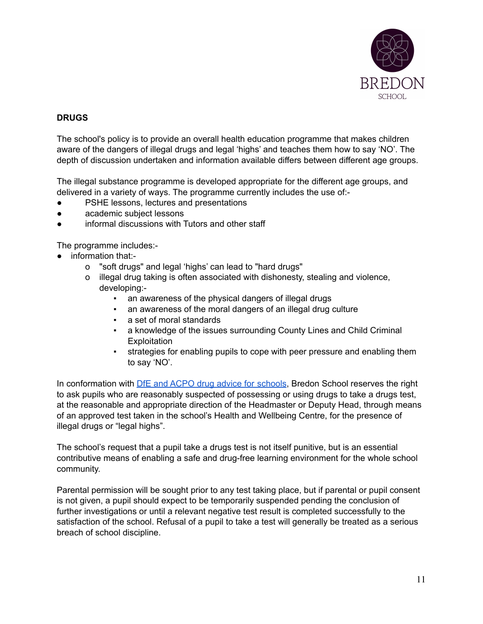

### **DRUGS**

The school's policy is to provide an overall health education programme that makes children aware of the dangers of illegal drugs and legal 'highs' and teaches them how to say 'NO'. The depth of discussion undertaken and information available differs between different age groups.

The illegal substance programme is developed appropriate for the different age groups, and delivered in a variety of ways. The programme currently includes the use of:-

- PSHE lessons, lectures and presentations
- academic subject lessons
- informal discussions with Tutors and other staff

The programme includes:-

- information that:
	- o "soft drugs" and legal 'highs' can lead to "hard drugs"
	- o illegal drug taking is often associated with dishonesty, stealing and violence, developing:-
		- an awareness of the physical dangers of illegal drugs
		- an awareness of the moral dangers of an illegal drug culture
		- a set of moral standards
		- a knowledge of the issues surrounding County Lines and Child Criminal **Exploitation**
		- strategies for enabling pupils to cope with peer pressure and enabling them to say 'NO'.

In conformation with DfE and ACPO drug advice for [schools](https://assets.publishing.service.gov.uk/government/uploads/system/uploads/attachment_data/file/270169/drug_advice_for_schools.pdf), Bredon School reserves the right to ask pupils who are reasonably suspected of possessing or using drugs to take a drugs test, at the reasonable and appropriate direction of the Headmaster or Deputy Head, through means of an approved test taken in the school's Health and Wellbeing Centre, for the presence of illegal drugs or "legal highs".

The school's request that a pupil take a drugs test is not itself punitive, but is an essential contributive means of enabling a safe and drug-free learning environment for the whole school community.

Parental permission will be sought prior to any test taking place, but if parental or pupil consent is not given, a pupil should expect to be temporarily suspended pending the conclusion of further investigations or until a relevant negative test result is completed successfully to the satisfaction of the school. Refusal of a pupil to take a test will generally be treated as a serious breach of school discipline.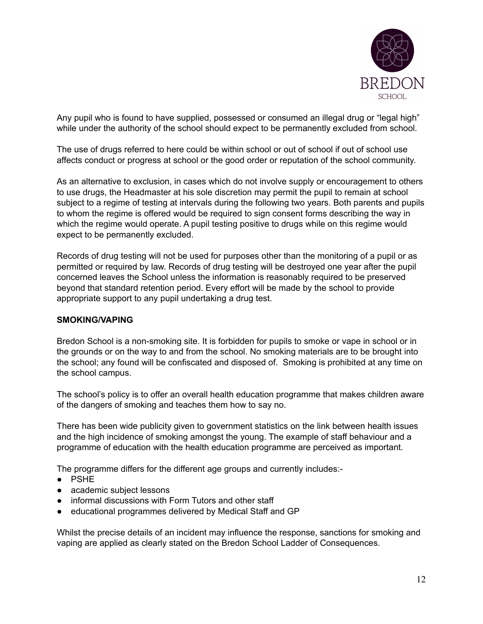

Any pupil who is found to have supplied, possessed or consumed an illegal drug or "legal high" while under the authority of the school should expect to be permanently excluded from school.

The use of drugs referred to here could be within school or out of school if out of school use affects conduct or progress at school or the good order or reputation of the school community.

As an alternative to exclusion, in cases which do not involve supply or encouragement to others to use drugs, the Headmaster at his sole discretion may permit the pupil to remain at school subject to a regime of testing at intervals during the following two years. Both parents and pupils to whom the regime is offered would be required to sign consent forms describing the way in which the regime would operate. A pupil testing positive to drugs while on this regime would expect to be permanently excluded.

Records of drug testing will not be used for purposes other than the monitoring of a pupil or as permitted or required by law. Records of drug testing will be destroyed one year after the pupil concerned leaves the School unless the information is reasonably required to be preserved beyond that standard retention period. Every effort will be made by the school to provide appropriate support to any pupil undertaking a drug test.

#### **SMOKING/VAPING**

Bredon School is a non-smoking site. It is forbidden for pupils to smoke or vape in school or in the grounds or on the way to and from the school. No smoking materials are to be brought into the school; any found will be confiscated and disposed of. Smoking is prohibited at any time on the school campus.

The school's policy is to offer an overall health education programme that makes children aware of the dangers of smoking and teaches them how to say no.

There has been wide publicity given to government statistics on the link between health issues and the high incidence of smoking amongst the young. The example of staff behaviour and a programme of education with the health education programme are perceived as important.

The programme differs for the different age groups and currently includes:-

- PSHE
- academic subject lessons
- informal discussions with Form Tutors and other staff
- educational programmes delivered by Medical Staff and GP

Whilst the precise details of an incident may influence the response, sanctions for smoking and vaping are applied as clearly stated on the Bredon School Ladder of Consequences.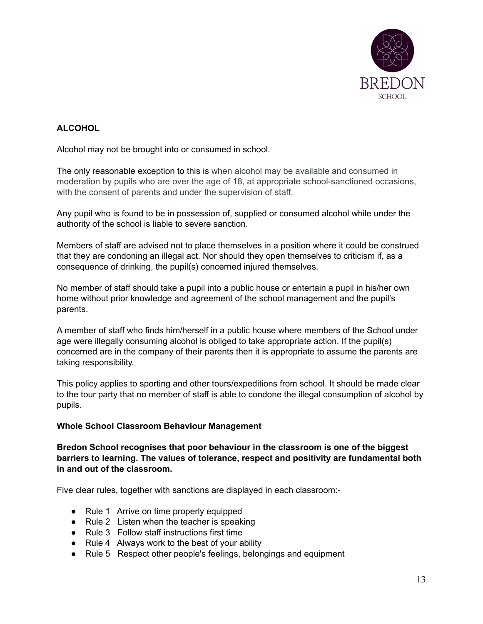

# **ALCOHOL**

Alcohol may not be brought into or consumed in school.

The only reasonable exception to this is when alcohol may be available and consumed in moderation by pupils who are over the age of 18, at appropriate school-sanctioned occasions, with the consent of parents and under the supervision of staff.

Any pupil who is found to be in possession of, supplied or consumed alcohol while under the authority of the school is liable to severe sanction.

Members of staff are advised not to place themselves in a position where it could be construed that they are condoning an illegal act. Nor should they open themselves to criticism if, as a consequence of drinking, the pupil(s) concerned injured themselves.

No member of staff should take a pupil into a public house or entertain a pupil in his/her own home without prior knowledge and agreement of the school management and the pupil's parents.

A member of staff who finds him/herself in a public house where members of the School under age were illegally consuming alcohol is obliged to take appropriate action. If the pupil(s) concerned are in the company of their parents then it is appropriate to assume the parents are taking responsibility.

This policy applies to sporting and other tours/expeditions from school. It should be made clear to the tour party that no member of staff is able to condone the illegal consumption of alcohol by pupils.

#### **Whole School Classroom Behaviour Management**

**Bredon School recognises that poor behaviour in the classroom is one of the biggest barriers to learning. The values of tolerance, respect and positivity are fundamental both in and out of the classroom.**

Five clear rules, together with sanctions are displayed in each classroom:-

- Rule 1 Arrive on time properly equipped
- Rule 2 Listen when the teacher is speaking
- Rule 3 Follow staff instructions first time
- Rule 4 Always work to the best of your ability
- Rule 5 Respect other people's feelings, belongings and equipment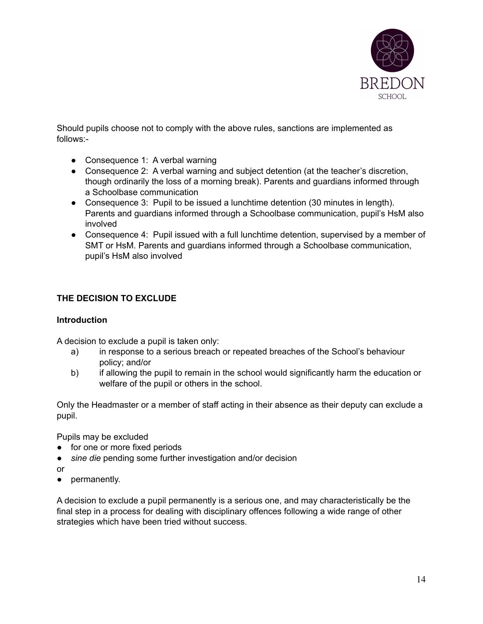

Should pupils choose not to comply with the above rules, sanctions are implemented as follows:-

- Consequence 1: A verbal warning
- Consequence 2: A verbal warning and subject detention (at the teacher's discretion, though ordinarily the loss of a morning break). Parents and guardians informed through a Schoolbase communication
- Consequence 3: Pupil to be issued a lunchtime detention (30 minutes in length). Parents and guardians informed through a Schoolbase communication, pupil's HsM also involved
- Consequence 4: Pupil issued with a full lunchtime detention, supervised by a member of SMT or HsM. Parents and guardians informed through a Schoolbase communication, pupil's HsM also involved

# **THE DECISION TO EXCLUDE**

#### **Introduction**

A decision to exclude a pupil is taken only:

- a) in response to a serious breach or repeated breaches of the School's behaviour policy; and/or
- b) if allowing the pupil to remain in the school would significantly harm the education or welfare of the pupil or others in the school.

Only the Headmaster or a member of staff acting in their absence as their deputy can exclude a pupil.

Pupils may be excluded

- for one or more fixed periods
- *sine die* pending some further investigation and/or decision
- or
- permanently.

A decision to exclude a pupil permanently is a serious one, and may characteristically be the final step in a process for dealing with disciplinary offences following a wide range of other strategies which have been tried without success.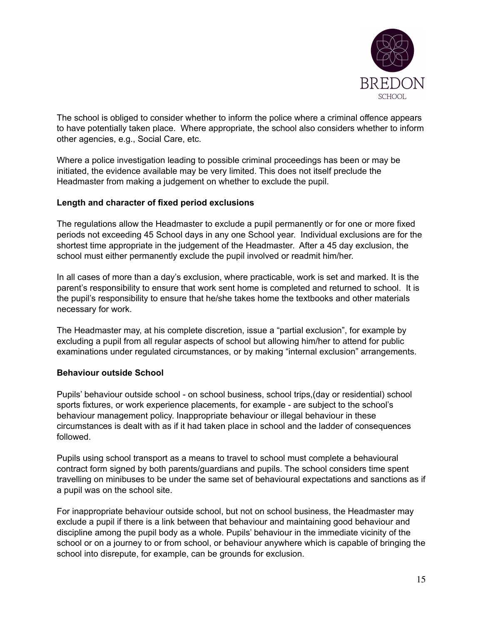

The school is obliged to consider whether to inform the police where a criminal offence appears to have potentially taken place. Where appropriate, the school also considers whether to inform other agencies, e.g., Social Care, etc.

Where a police investigation leading to possible criminal proceedings has been or may be initiated, the evidence available may be very limited. This does not itself preclude the Headmaster from making a judgement on whether to exclude the pupil.

#### **Length and character of fixed period exclusions**

The regulations allow the Headmaster to exclude a pupil permanently or for one or more fixed periods not exceeding 45 School days in any one School year. Individual exclusions are for the shortest time appropriate in the judgement of the Headmaster. After a 45 day exclusion, the school must either permanently exclude the pupil involved or readmit him/her.

In all cases of more than a day's exclusion, where practicable, work is set and marked. It is the parent's responsibility to ensure that work sent home is completed and returned to school. It is the pupil's responsibility to ensure that he/she takes home the textbooks and other materials necessary for work.

The Headmaster may, at his complete discretion, issue a "partial exclusion", for example by excluding a pupil from all regular aspects of school but allowing him/her to attend for public examinations under regulated circumstances, or by making "internal exclusion" arrangements.

#### **Behaviour outside School**

Pupils' behaviour outside school - on school business, school trips,(day or residential) school sports fixtures, or work experience placements, for example - are subject to the school's behaviour management policy. Inappropriate behaviour or illegal behaviour in these circumstances is dealt with as if it had taken place in school and the ladder of consequences followed.

Pupils using school transport as a means to travel to school must complete a behavioural contract form signed by both parents/guardians and pupils. The school considers time spent travelling on minibuses to be under the same set of behavioural expectations and sanctions as if a pupil was on the school site.

For inappropriate behaviour outside school, but not on school business, the Headmaster may exclude a pupil if there is a link between that behaviour and maintaining good behaviour and discipline among the pupil body as a whole. Pupils' behaviour in the immediate vicinity of the school or on a journey to or from school, or behaviour anywhere which is capable of bringing the school into disrepute, for example, can be grounds for exclusion.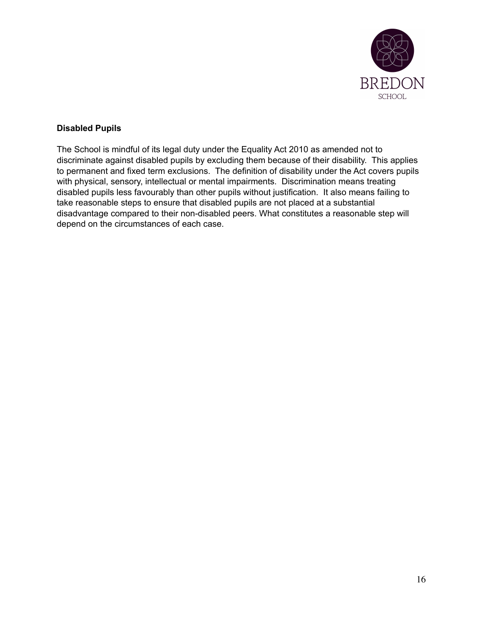

### **Disabled Pupils**

The School is mindful of its legal duty under the Equality Act 2010 as amended not to discriminate against disabled pupils by excluding them because of their disability. This applies to permanent and fixed term exclusions. The definition of disability under the Act covers pupils with physical, sensory, intellectual or mental impairments. Discrimination means treating disabled pupils less favourably than other pupils without justification. It also means failing to take reasonable steps to ensure that disabled pupils are not placed at a substantial disadvantage compared to their non-disabled peers. What constitutes a reasonable step will depend on the circumstances of each case.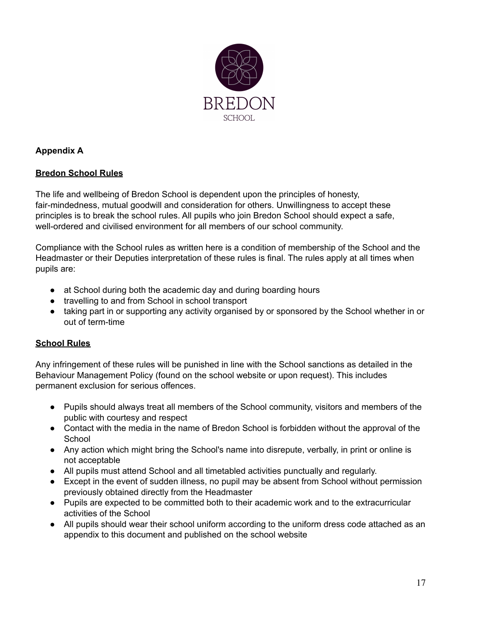

### **Appendix A**

### **Bredon School Rules**

The life and wellbeing of Bredon School is dependent upon the principles of honesty, fair-mindedness, mutual goodwill and consideration for others. Unwillingness to accept these principles is to break the school rules. All pupils who join Bredon School should expect a safe, well-ordered and civilised environment for all members of our school community.

Compliance with the School rules as written here is a condition of membership of the School and the Headmaster or their Deputies interpretation of these rules is final. The rules apply at all times when pupils are:

- at School during both the academic day and during boarding hours
- travelling to and from School in school transport
- taking part in or supporting any activity organised by or sponsored by the School whether in or out of term-time

# **School Rules**

Any infringement of these rules will be punished in line with the School sanctions as detailed in the Behaviour Management Policy (found on the school website or upon request). This includes permanent exclusion for serious offences.

- Pupils should always treat all members of the School community, visitors and members of the public with courtesy and respect
- Contact with the media in the name of Bredon School is forbidden without the approval of the **School**
- Any action which might bring the School's name into disrepute, verbally, in print or online is not acceptable
- All pupils must attend School and all timetabled activities punctually and regularly.
- Except in the event of sudden illness, no pupil may be absent from School without permission previously obtained directly from the Headmaster
- Pupils are expected to be committed both to their academic work and to the extracurricular activities of the School
- All pupils should wear their school uniform according to the uniform dress code attached as an appendix to this document and published on the school website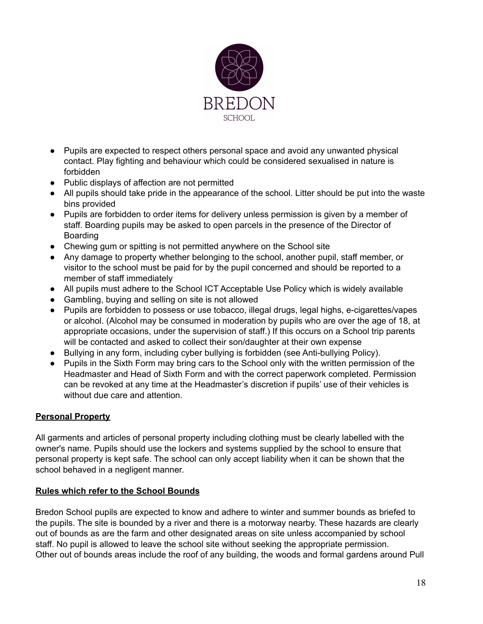

- Pupils are expected to respect others personal space and avoid any unwanted physical contact. Play fighting and behaviour which could be considered sexualised in nature is forbidden
- Public displays of affection are not permitted
- All pupils should take pride in the appearance of the school. Litter should be put into the waste bins provided
- Pupils are forbidden to order items for delivery unless permission is given by a member of staff. Boarding pupils may be asked to open parcels in the presence of the Director of Boarding
- Chewing gum or spitting is not permitted anywhere on the School site
- Any damage to property whether belonging to the school, another pupil, staff member, or visitor to the school must be paid for by the pupil concerned and should be reported to a member of staff immediately
- All pupils must adhere to the School ICT Acceptable Use Policy which is widely available
- Gambling, buying and selling on site is not allowed
- Pupils are forbidden to possess or use tobacco, illegal drugs, legal highs, e-cigarettes/vapes or alcohol. (Alcohol may be consumed in moderation by pupils who are over the age of 18, at appropriate occasions, under the supervision of staff.) If this occurs on a School trip parents will be contacted and asked to collect their son/daughter at their own expense
- Bullying in any form, including cyber bullying is forbidden (see Anti-bullying Policy).
- Pupils in the Sixth Form may bring cars to the School only with the written permission of the Headmaster and Head of Sixth Form and with the correct paperwork completed. Permission can be revoked at any time at the Headmaster's discretion if pupils' use of their vehicles is without due care and attention.

### **Personal Property**

All garments and articles of personal property including clothing must be clearly labelled with the owner's name. Pupils should use the lockers and systems supplied by the school to ensure that personal property is kept safe. The school can only accept liability when it can be shown that the school behaved in a negligent manner.

### **Rules which refer to the School Bounds**

Bredon School pupils are expected to know and adhere to winter and summer bounds as briefed to the pupils. The site is bounded by a river and there is a motorway nearby. These hazards are clearly out of bounds as are the farm and other designated areas on site unless accompanied by school staff. No pupil is allowed to leave the school site without seeking the appropriate permission. Other out of bounds areas include the roof of any building, the woods and formal gardens around Pull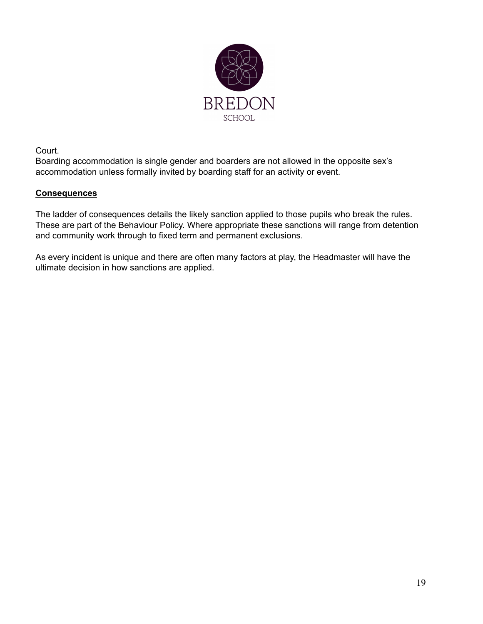

Court.

Boarding accommodation is single gender and boarders are not allowed in the opposite sex's accommodation unless formally invited by boarding staff for an activity or event.

### **Consequences**

The ladder of consequences details the likely sanction applied to those pupils who break the rules. These are part of the Behaviour Policy. Where appropriate these sanctions will range from detention and community work through to fixed term and permanent exclusions.

As every incident is unique and there are often many factors at play, the Headmaster will have the ultimate decision in how sanctions are applied.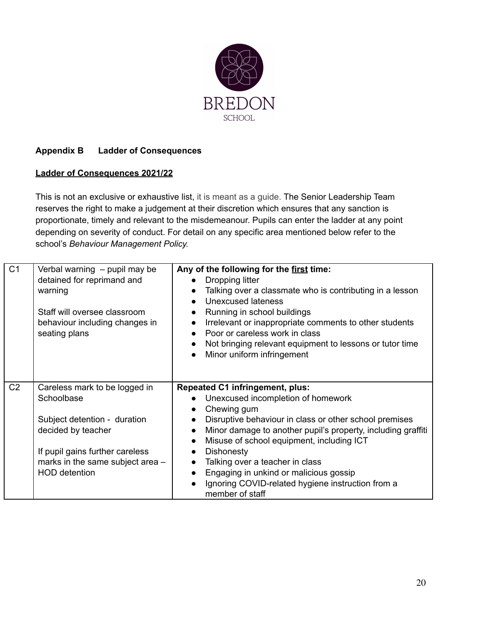

# **Appendix B Ladder of Consequences**

### **Ladder of Consequences 2021/22**

This is not an exclusive or exhaustive list, it is meant as a guide. The Senior Leadership Team reserves the right to make a judgement at their discretion which ensures that any sanction is proportionate, timely and relevant to the misdemeanour. Pupils can enter the ladder at any point depending on severity of conduct. For detail on any specific area mentioned below refer to the school's *Behaviour Management Policy.*

| C <sub>1</sub> | Verbal warning - pupil may be<br>detained for reprimand and<br>warning<br>Staff will oversee classroom<br>behaviour including changes in<br>seating plans                                        | Any of the following for the first time:<br>Dropping litter<br>Talking over a classmate who is contributing in a lesson<br><b>Unexcused lateness</b><br>Running in school buildings<br>Irrelevant or inappropriate comments to other students<br>Poor or careless work in class<br>Not bringing relevant equipment to lessons or tutor time<br>Minor uniform infringement                                                                                                           |
|----------------|--------------------------------------------------------------------------------------------------------------------------------------------------------------------------------------------------|-------------------------------------------------------------------------------------------------------------------------------------------------------------------------------------------------------------------------------------------------------------------------------------------------------------------------------------------------------------------------------------------------------------------------------------------------------------------------------------|
| C <sub>2</sub> | Careless mark to be logged in<br>Schoolbase<br>Subject detention - duration<br>decided by teacher<br>If pupil gains further careless<br>marks in the same subject area -<br><b>HOD</b> detention | <b>Repeated C1 infringement, plus:</b><br>Unexcused incompletion of homework<br>Chewing gum<br>Disruptive behaviour in class or other school premises<br>Minor damage to another pupil's property, including graffiti<br>Misuse of school equipment, including ICT<br>$\bullet$<br><b>Dishonesty</b><br>Talking over a teacher in class<br>Engaging in unkind or malicious gossip<br>$\bullet$<br>Ignoring COVID-related hygiene instruction from a<br>$\bullet$<br>member of staff |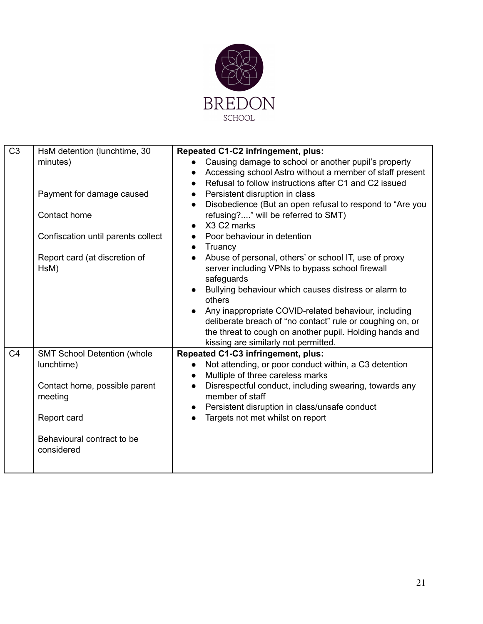

| C <sub>3</sub> | HsM detention (lunchtime, 30       | Repeated C1-C2 infringement, plus:                                    |
|----------------|------------------------------------|-----------------------------------------------------------------------|
|                | minutes)                           | Causing damage to school or another pupil's property<br>$\bullet$     |
|                |                                    | Accessing school Astro without a member of staff present<br>$\bullet$ |
|                |                                    | Refusal to follow instructions after C1 and C2 issued                 |
|                | Payment for damage caused          | Persistent disruption in class<br>$\bullet$                           |
|                |                                    | Disobedience (But an open refusal to respond to "Are you<br>$\bullet$ |
|                | Contact home                       | refusing?" will be referred to SMT)                                   |
|                |                                    | X3 C2 marks<br>$\bullet$                                              |
|                | Confiscation until parents collect | Poor behaviour in detention<br>$\bullet$                              |
|                |                                    | Truancy<br>$\bullet$                                                  |
|                | Report card (at discretion of      | Abuse of personal, others' or school IT, use of proxy<br>$\bullet$    |
|                | HsM)                               | server including VPNs to bypass school firewall                       |
|                |                                    | safeguards                                                            |
|                |                                    | Bullying behaviour which causes distress or alarm to                  |
|                |                                    | others                                                                |
|                |                                    | Any inappropriate COVID-related behaviour, including<br>$\bullet$     |
|                |                                    | deliberate breach of "no contact" rule or coughing on, or             |
|                |                                    | the threat to cough on another pupil. Holding hands and               |
|                |                                    | kissing are similarly not permitted.                                  |
| C <sub>4</sub> | <b>SMT School Detention (whole</b> | Repeated C1-C3 infringement, plus:                                    |
|                | lunchtime)                         | Not attending, or poor conduct within, a C3 detention<br>$\bullet$    |
|                |                                    | Multiple of three careless marks<br>$\bullet$                         |
|                | Contact home, possible parent      | Disrespectful conduct, including swearing, towards any<br>$\bullet$   |
|                | meeting                            | member of staff                                                       |
|                |                                    | Persistent disruption in class/unsafe conduct<br>$\bullet$            |
|                | Report card                        | Targets not met whilst on report<br>$\bullet$                         |
|                |                                    |                                                                       |
|                | Behavioural contract to be         |                                                                       |
|                | considered                         |                                                                       |
|                |                                    |                                                                       |
|                |                                    |                                                                       |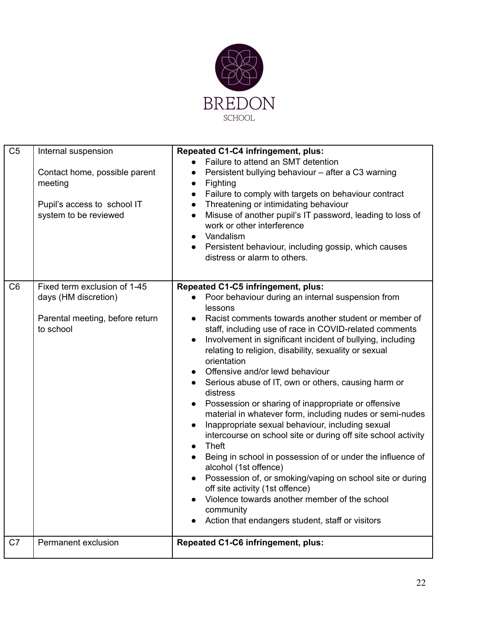

| C <sub>5</sub> | Internal suspension<br>Contact home, possible parent<br>meeting<br>Pupil's access to school IT<br>system to be reviewed | Repeated C1-C4 infringement, plus:<br>Failure to attend an SMT detention<br>Persistent bullying behaviour - after a C3 warning<br>Fighting<br>$\bullet$<br>Failure to comply with targets on behaviour contract<br>$\bullet$<br>Threatening or intimidating behaviour<br>$\bullet$<br>Misuse of another pupil's IT password, leading to loss of<br>$\bullet$<br>work or other interference<br>Vandalism<br>$\bullet$<br>Persistent behaviour, including gossip, which causes<br>$\bullet$<br>distress or alarm to others.                                                                                                                                                                                                                                                                                                                                                                                                                                                                                                                                                                   |
|----------------|-------------------------------------------------------------------------------------------------------------------------|---------------------------------------------------------------------------------------------------------------------------------------------------------------------------------------------------------------------------------------------------------------------------------------------------------------------------------------------------------------------------------------------------------------------------------------------------------------------------------------------------------------------------------------------------------------------------------------------------------------------------------------------------------------------------------------------------------------------------------------------------------------------------------------------------------------------------------------------------------------------------------------------------------------------------------------------------------------------------------------------------------------------------------------------------------------------------------------------|
| C <sub>6</sub> | Fixed term exclusion of 1-45<br>days (HM discretion)<br>Parental meeting, before return<br>to school                    | Repeated C1-C5 infringement, plus:<br>Poor behaviour during an internal suspension from<br>$\bullet$<br>lessons<br>Racist comments towards another student or member of<br>staff, including use of race in COVID-related comments<br>Involvement in significant incident of bullying, including<br>$\bullet$<br>relating to religion, disability, sexuality or sexual<br>orientation<br>Offensive and/or lewd behaviour<br>Serious abuse of IT, own or others, causing harm or<br>$\bullet$<br>distress<br>Possession or sharing of inappropriate or offensive<br>material in whatever form, including nudes or semi-nudes<br>Inappropriate sexual behaviour, including sexual<br>$\bullet$<br>intercourse on school site or during off site school activity<br>Theft<br>$\bullet$<br>Being in school in possession of or under the influence of<br>alcohol (1st offence)<br>Possession of, or smoking/vaping on school site or during<br>off site activity (1st offence)<br>Violence towards another member of the school<br>community<br>Action that endangers student, staff or visitors |
| C7             | Permanent exclusion                                                                                                     | Repeated C1-C6 infringement, plus:                                                                                                                                                                                                                                                                                                                                                                                                                                                                                                                                                                                                                                                                                                                                                                                                                                                                                                                                                                                                                                                          |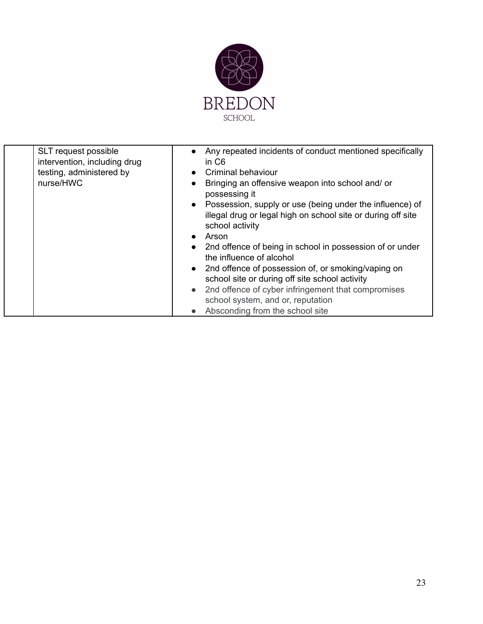

| SLT request possible<br>intervention, including drug<br>testing, administered by<br>nurse/HWC | Any repeated incidents of conduct mentioned specifically<br>$\bullet$<br>in C <sub>6</sub><br>Criminal behaviour<br>$\bullet$<br>Bringing an offensive weapon into school and/ or<br>possessing it<br>Possession, supply or use (being under the influence) of<br>$\bullet$<br>illegal drug or legal high on school site or during off site<br>school activity<br>Arson<br>2nd offence of being in school in possession of or under<br>the influence of alcohol<br>• 2nd offence of possession of, or smoking/vaping on<br>school site or during off site school activity<br>2nd offence of cyber infringement that compromises<br>$\bullet$<br>school system, and or, reputation<br>Absconding from the school site |
|-----------------------------------------------------------------------------------------------|----------------------------------------------------------------------------------------------------------------------------------------------------------------------------------------------------------------------------------------------------------------------------------------------------------------------------------------------------------------------------------------------------------------------------------------------------------------------------------------------------------------------------------------------------------------------------------------------------------------------------------------------------------------------------------------------------------------------|
|-----------------------------------------------------------------------------------------------|----------------------------------------------------------------------------------------------------------------------------------------------------------------------------------------------------------------------------------------------------------------------------------------------------------------------------------------------------------------------------------------------------------------------------------------------------------------------------------------------------------------------------------------------------------------------------------------------------------------------------------------------------------------------------------------------------------------------|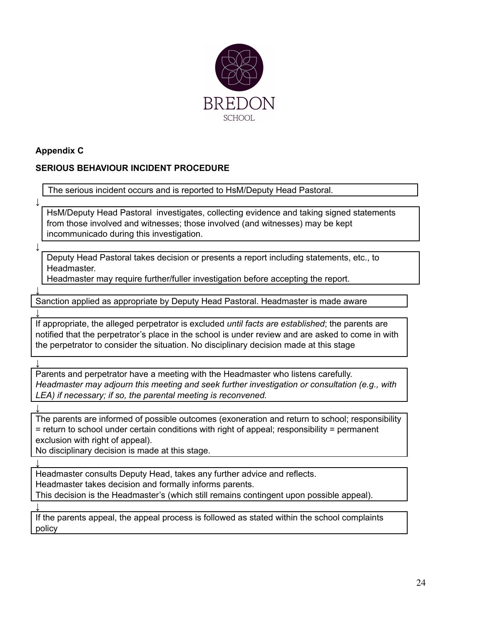

### **Appendix C**

# **SERIOUS BEHAVIOUR INCIDENT PROCEDURE**

The serious incident occurs and is reported to HsM/Deputy Head Pastoral.

HsM/Deputy Head Pastoral investigates, collecting evidence and taking signed statements from those involved and witnesses; those involved (and witnesses) may be kept incommunicado during this investigation.

**↓**

**↓**

**↓**

**↓**

**↓**

**↓**

**↓**

**↓**

Deputy Head Pastoral takes decision or presents a report including statements, etc., to Headmaster.

Headmaster may require further/fuller investigation before accepting the report.

Sanction applied as appropriate by Deputy Head Pastoral. Headmaster is made aware

If appropriate, the alleged perpetrator is excluded *until facts are established*; the parents are notified that the perpetrator's place in the school is under review and are asked to come in with the perpetrator to consider the situation. No disciplinary decision made at this stage

Parents and perpetrator have a meeting with the Headmaster who listens carefully. *Headmaster may adjourn this meeting and seek further investigation or consultation (e.g., with LEA) if necessary; if so, the parental meeting is reconvened.*

The parents are informed of possible outcomes (exoneration and return to school; responsibility = return to school under certain conditions with right of appeal; responsibility = permanent exclusion with right of appeal).

No disciplinary decision is made at this stage.

Headmaster consults Deputy Head, takes any further advice and reflects. Headmaster takes decision and formally informs parents. This decision is the Headmaster's (which still remains contingent upon possible appeal).

If the parents appeal, the appeal process is followed as stated within the school complaints policy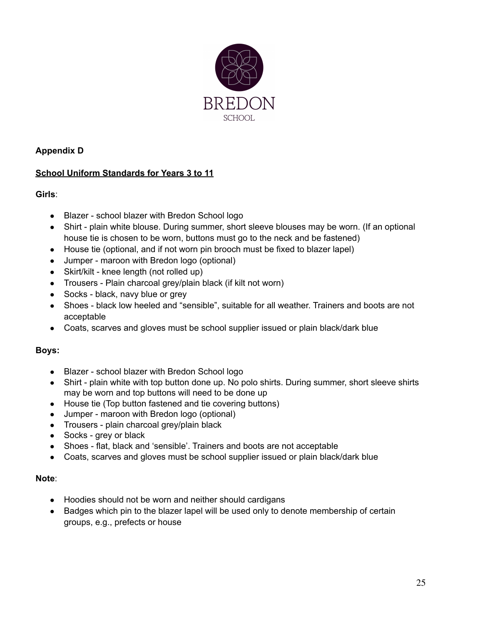

### **Appendix D**

### **School Uniform Standards for Years 3 to 11**

### **Girls**:

- Blazer school blazer with Bredon School logo
- Shirt plain white blouse. During summer, short sleeve blouses may be worn. (If an optional house tie is chosen to be worn, buttons must go to the neck and be fastened)
- House tie (optional, and if not worn pin brooch must be fixed to blazer lapel)
- Jumper maroon with Bredon logo (optional)
- Skirt/kilt knee length (not rolled up)
- Trousers Plain charcoal grey/plain black (if kilt not worn)
- Socks black, navy blue or grey
- Shoes black low heeled and "sensible", suitable for all weather. Trainers and boots are not acceptable
- Coats, scarves and gloves must be school supplier issued or plain black/dark blue

#### **Boys:**

- Blazer school blazer with Bredon School logo
- Shirt plain white with top button done up. No polo shirts. During summer, short sleeve shirts may be worn and top buttons will need to be done up
- House tie (Top button fastened and tie covering buttons)
- Jumper maroon with Bredon logo (optional)
- Trousers plain charcoal grey/plain black
- Socks grey or black
- Shoes flat, black and 'sensible'. Trainers and boots are not acceptable
- Coats, scarves and gloves must be school supplier issued or plain black/dark blue

#### **Note**:

- Hoodies should not be worn and neither should cardigans
- Badges which pin to the blazer lapel will be used only to denote membership of certain groups, e.g., prefects or house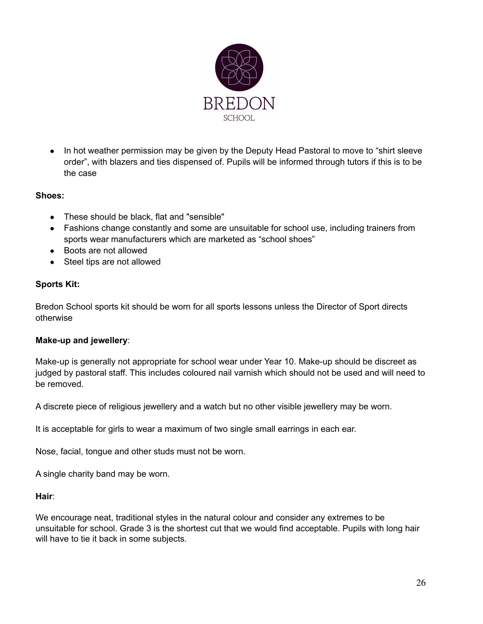

• In hot weather permission may be given by the Deputy Head Pastoral to move to "shirt sleeve" order", with blazers and ties dispensed of. Pupils will be informed through tutors if this is to be the case

### **Shoes:**

- These should be black, flat and "sensible"
- Fashions change constantly and some are unsuitable for school use, including trainers from sports wear manufacturers which are marketed as "school shoes"
- Boots are not allowed
- Steel tips are not allowed

### **Sports Kit:**

Bredon School sports kit should be worn for all sports lessons unless the Director of Sport directs otherwise

### **Make-up and jewellery**:

Make-up is generally not appropriate for school wear under Year 10. Make-up should be discreet as judged by pastoral staff. This includes coloured nail varnish which should not be used and will need to be removed.

A discrete piece of religious jewellery and a watch but no other visible jewellery may be worn.

It is acceptable for girls to wear a maximum of two single small earrings in each ear.

Nose, facial, tongue and other studs must not be worn.

A single charity band may be worn.

#### **Hair**:

We encourage neat, traditional styles in the natural colour and consider any extremes to be unsuitable for school. Grade 3 is the shortest cut that we would find acceptable. Pupils with long hair will have to tie it back in some subjects.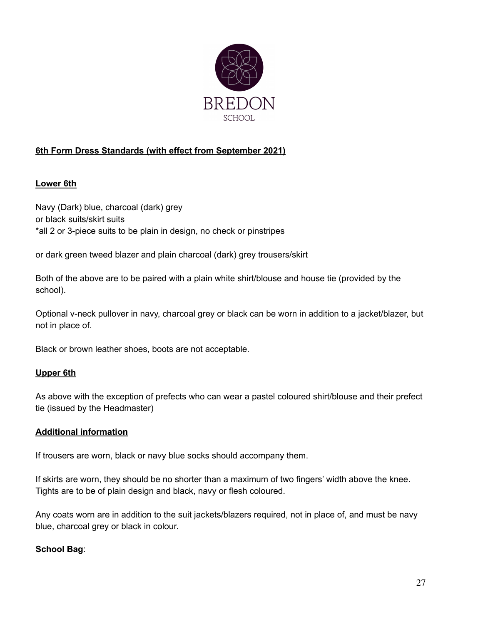

# **6th Form Dress Standards (with effect from September 2021)**

### **Lower 6th**

Navy (Dark) blue, charcoal (dark) grey or black suits/skirt suits \*all 2 or 3-piece suits to be plain in design, no check or pinstripes

or dark green tweed blazer and plain charcoal (dark) grey trousers/skirt

Both of the above are to be paired with a plain white shirt/blouse and house tie (provided by the school).

Optional v-neck pullover in navy, charcoal grey or black can be worn in addition to a jacket/blazer, but not in place of.

Black or brown leather shoes, boots are not acceptable.

### **Upper 6th**

As above with the exception of prefects who can wear a pastel coloured shirt/blouse and their prefect tie (issued by the Headmaster)

#### **Additional information**

If trousers are worn, black or navy blue socks should accompany them.

If skirts are worn, they should be no shorter than a maximum of two fingers' width above the knee. Tights are to be of plain design and black, navy or flesh coloured.

Any coats worn are in addition to the suit jackets/blazers required, not in place of, and must be navy blue, charcoal grey or black in colour.

#### **School Bag**: